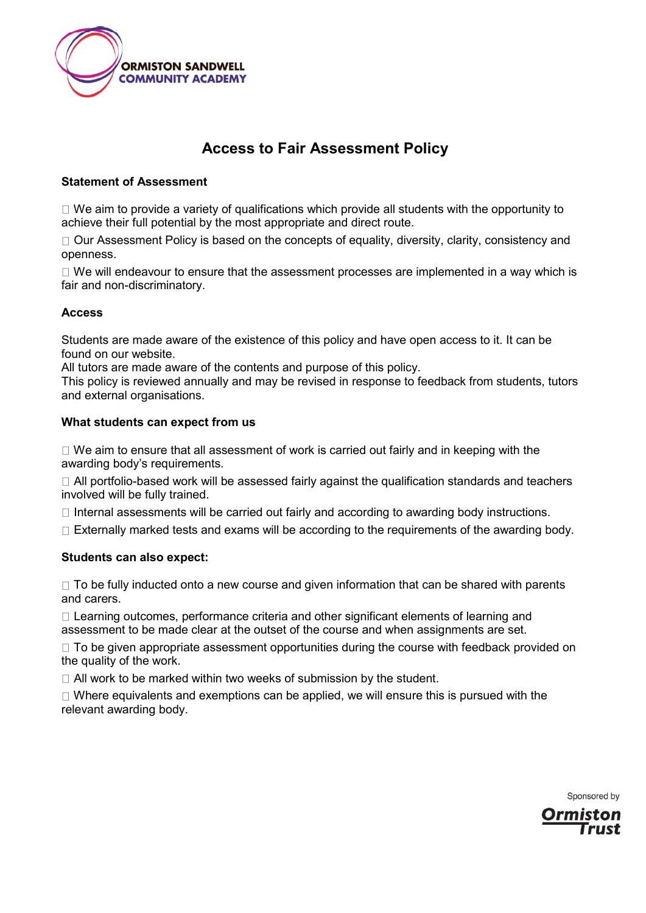

# **Access to Fair Assessment Policy**

## **Statement of Assessment**

 $\Box$  We aim to provide a variety of qualifications which provide all students with the opportunity to achieve their full potential by the most appropriate and direct route.

 $\Box$  Our Assessment Policy is based on the concepts of equality, diversity, clarity, consistency and openness.

 $\Box$  We will endeavour to ensure that the assessment processes are implemented in a way which is fair and non-discriminatory.

## **Access**

Students are made aware of the existence of this policy and have open access to it. It can be found on our website.

All tutors are made aware of the contents and purpose of this policy.

This policy is reviewed annually and may be revised in response to feedback from students, tutors and external organisations.

#### **What students can expect from us**

 $\Box$  We aim to ensure that all assessment of work is carried out fairly and in keeping with the awarding body's requirements.

 $\Box$  All portfolio-based work will be assessed fairly against the qualification standards and teachers involved will be fully trained.

 $\Box$  Internal assessments will be carried out fairly and according to awarding body instructions.

 $\Box$  Externally marked tests and exams will be according to the requirements of the awarding body.

## **Students can also expect:**

 $\Box$  To be fully inducted onto a new course and given information that can be shared with parents and carers.

 $\Box$  Learning outcomes, performance criteria and other significant elements of learning and assessment to be made clear at the outset of the course and when assignments are set.

 $\Box$  To be given appropriate assessment opportunities during the course with feedback provided on the quality of the work.

 $\Box$  All work to be marked within two weeks of submission by the student.

 $\Box$  Where equivalents and exemptions can be applied, we will ensure this is pursued with the relevant awarding body.

Sponsored by